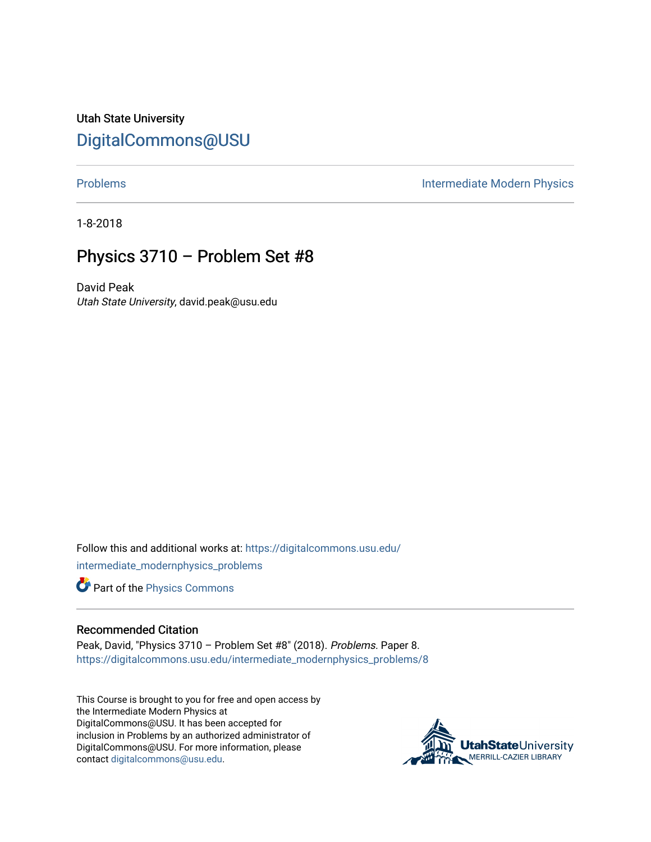Utah State University [DigitalCommons@USU](https://digitalcommons.usu.edu/)

[Problems](https://digitalcommons.usu.edu/intermediate_modernphysics_problems) **Intermediate Modern Physics** 

1-8-2018

## Physics 3710 – Problem Set #8

David Peak Utah State University, david.peak@usu.edu

Follow this and additional works at: [https://digitalcommons.usu.edu/](https://digitalcommons.usu.edu/intermediate_modernphysics_problems?utm_source=digitalcommons.usu.edu%2Fintermediate_modernphysics_problems%2F8&utm_medium=PDF&utm_campaign=PDFCoverPages) [intermediate\\_modernphysics\\_problems](https://digitalcommons.usu.edu/intermediate_modernphysics_problems?utm_source=digitalcommons.usu.edu%2Fintermediate_modernphysics_problems%2F8&utm_medium=PDF&utm_campaign=PDFCoverPages)

Part of the [Physics Commons](http://network.bepress.com/hgg/discipline/193?utm_source=digitalcommons.usu.edu%2Fintermediate_modernphysics_problems%2F8&utm_medium=PDF&utm_campaign=PDFCoverPages)

## Recommended Citation

Peak, David, "Physics 3710 – Problem Set #8" (2018). Problems. Paper 8. [https://digitalcommons.usu.edu/intermediate\\_modernphysics\\_problems/8](https://digitalcommons.usu.edu/intermediate_modernphysics_problems/8?utm_source=digitalcommons.usu.edu%2Fintermediate_modernphysics_problems%2F8&utm_medium=PDF&utm_campaign=PDFCoverPages)

This Course is brought to you for free and open access by the Intermediate Modern Physics at DigitalCommons@USU. It has been accepted for inclusion in Problems by an authorized administrator of DigitalCommons@USU. For more information, please contact [digitalcommons@usu.edu](mailto:digitalcommons@usu.edu).